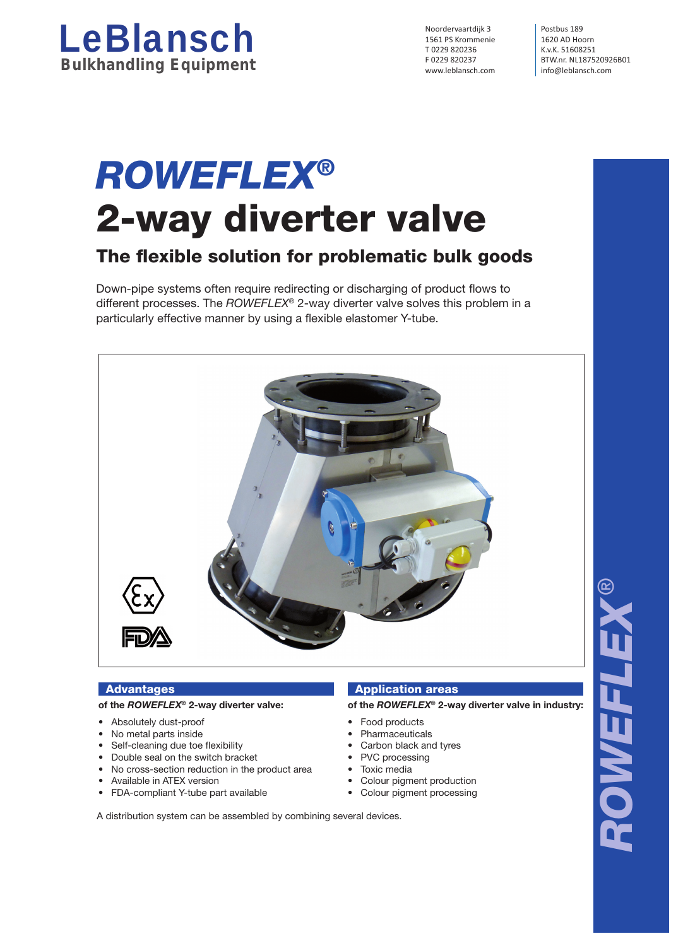

Noordervaartdijk 3 Postbus 189 1561 PS Krommenie 1620 AD Hoorn<br>
T 0229 820236 K.v.K. 51608251 T 0229 820236<br>F 0229 820237 BTW.nr. NL1875.

F 0229 820237 BTW.nr. NL187520926B01<br>www.leblansch.com info@leblansch.com info@leblansch.com

# *ROWEFLEX®* 2-way diverter valve

# The flexible solution for problematic bulk goods

Down-pipe systems often require redirecting or discharging of product flows to different processes. The *ROWEFLEX*® 2-way diverter valve solves this problem in a particularly effective manner by using a flexible elastomer Y-tube.



# **Advantages**

# **of the** *ROWEFLEX***® 2-way diverter valve:**

- Absolutely dust-proof
- No metal parts inside
- Self-cleaning due toe flexibility
- Double seal on the switch bracket
- No cross-section reduction in the product area
- Available in ATEX version
- FDA-compliant Y-tube part available

## Application areas

**of the** *ROWEFLEX***® 2-way diverter valve in industry:**

- Food products
- **Pharmaceuticals**
- Carbon black and tyres
- PVC processing
- Toxic media
- Colour pigment production
- Colour pigment processing

A distribution system can be assembled by combining several devices.